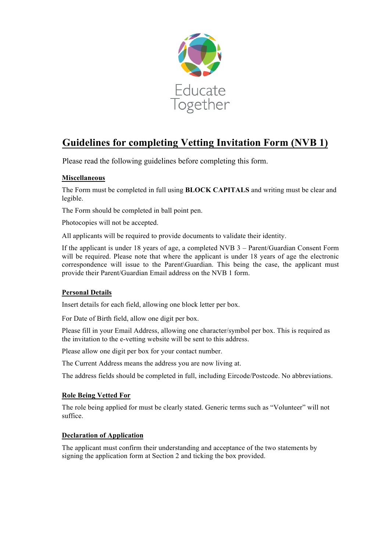

# **Guidelines for completing Vetting Invitation Form (NVB 1)**

Please read the following guidelines before completing this form.

### **Miscellaneous**

The Form must be completed in full using **BLOCK CAPITALS** and writing must be clear and legible.

The Form should be completed in ball point pen.

Photocopies will not be accepted.

All applicants will be required to provide documents to validate their identity.

If the applicant is under 18 years of age, a completed NVB 3 – Parent/Guardian Consent Form will be required. Please note that where the applicant is under 18 years of age the electronic correspondence will issue to the Parent\Guardian. This being the case, the applicant must provide their Parent/Guardian Email address on the NVB 1 form.

#### **Personal Details**

Insert details for each field, allowing one block letter per box.

For Date of Birth field, allow one digit per box.

Please fill in your Email Address, allowing one character/symbol per box. This is required as the invitation to the e-vetting website will be sent to this address.

Please allow one digit per box for your contact number.

The Current Address means the address you are now living at.

The address fields should be completed in full, including Eircode/Postcode. No abbreviations.

#### **Role Being Vetted For**

The role being applied for must be clearly stated. Generic terms such as "Volunteer" will not suffice.

#### **Declaration of Application**

The applicant must confirm their understanding and acceptance of the two statements by signing the application form at Section 2 and ticking the box provided.